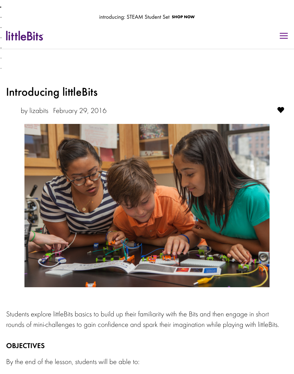# [Introducing littleBits](http://littlebits.cc/)

by lizabits February 29, 2016



Students explore littleBits basics to build up their familiarity with the Bits and then engage rounds of mini-challenges to gain confidence and spark their imagination while playing w

## **OBJECTIVES**

By the end of the lesson, students will be able to: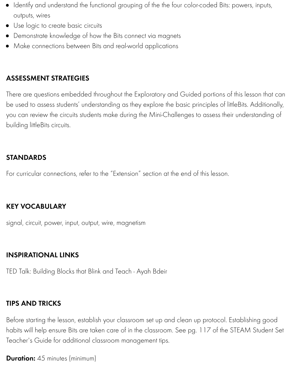# ASSESSMENT STRATEGIES

There are questions embedded throughout the Exploratory and Guided portions of this le be used to assess students' understanding as they explore the basic principles of littleBits. you can review the circuits students make during the Mini-Challenges to assess their unde building littleBits circuits.

### STANDARDS

For curricular connections, refer to the "Extension" section at the end of this lesson.

### KEY VOCABULARY

signal, circuit, power, input, output, wire, magnetism

### INSPIRATIONAL LINKS

TED Talk: Building Blocks that Blink and Teach - Ayah Bdeir

### TIPS AND TRICKS

[Before starting the lesson, establish your classroom set up an](https://www.ted.com/talks/ayah_bdeir_building_blocks_that_blink_beep_and_teach)d clean up protocol. Establis habits will help ensure Bits are taken care of in the classroom. See pg. 117 of the STEAN Teacher's Guide for additional classroom management tips.

**Duration:** 45 minutes (minimum)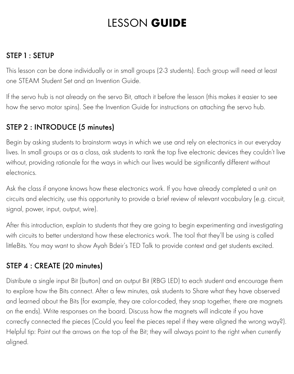# LESSON **GUIDE**

# STEP 1 : SETUP

This lesson can be done individually or in small groups (2-3 students). Each group will need at least one STEAM Student Set and an Invention Guide.

If the servo hub is not already on the servo Bit, attach it before the lesson (this makes it easier to see how the servo motor spins). See the Invention Guide for instructions on attaching the servo hub.

# STEP 2 : INTRODUCE (5 minutes)

Begin by asking students to brainstorm ways in which we use and rely on electronics in our everyday lives. In small groups or as a class, ask students to rank the top five electronic devices they couldn't live without, providing rationale for the ways in which our lives would be significantly different without electronics.

Ask the class if anyone knows how these electronics work. If you have already completed a unit on circuits and electricity, use this opportunity to provide a brief review of relevant vocabulary (e.g. circuit, signal, power, input, output, wire).

After this introduction, explain to students that they are going to begin experimenting and investigating with circuits to better understand how these electronics work. The tool that they'll be using is called littleBits. You may want to show Ayah Bdeir's TED Talk to provide context and get students excited.

# STEP 4 : CREATE (20 minutes)

Distribute a single input Bit (button) and an output Bit (RBG LED) to each student and encourage them to explore how the Bits connect. After a few minutes, ask students to Share what they have observed and learned about the Bits (for example, they are color-coded, they snap together, there are magnets on the ends). Write responses on the board. Discuss how the magnets will indicate if you have correctly connected the pieces (Could you feel the pieces repel if they were aligned the wrong way?). Helpful tip: Point out the arrows on the top of the Bit; they will always point to the right when currently aligned.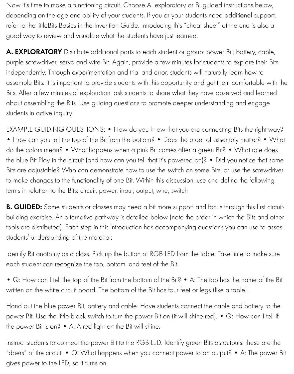Now it's time to make a functioning circuit. Choose A. exploratory or B. guided instructions below, depending on the age and ability of your students. If you or your students need additional support, refer to the littleBits Basics in the Invention Guide. Introducing this "cheat sheet" at the end is also a good way to review and visualize what the students have just learned.

A. EXPLORATORY Distribute additional parts to each student or group: power Bit, battery, cable, purple screwdriver, servo and wire Bit. Again, provide a few minutes for students to explore their Bits independently. Through experimentation and trial and error, students will naturally learn how to assemble Bits. It is important to provide students with this opportunity and get them comfortable with the Bits. After a few minutes of exploration, ask students to share what they have observed and learned about assembling the Bits. Use guiding questions to promote deeper understanding and engage students in active inquiry.

EXAMPLE GUIDING QUESTIONS: • How do you know that you are connecting Bits the right way? • How can you tell the top of the Bit from the bottom? • Does the order of assembly matter? • What do the colors mean? • What happens when a pink Bit comes after a green Bit? • What role does the blue Bit Play in the circuit (and how can you tell that it's powered on)? • Did you notice that some Bits are adjustable? Who can demonstrate how to use the switch on some Bits, or use the screwdriver to make changes to the functionality of one Bit. Within this discussion, use and define the following terms in relation to the Bits: circuit, power, input, output, wire, switch

**B. GUIDED:** Some students or classes may need a bit more support and focus through this first circuitbuilding exercise. An alternative pathway is detailed below (note the order in which the Bits and other tools are distributed). Each step in this introduction has accompanying questions you can use to asses students' understanding of the material:

Identify Bit anatomy as a class. Pick up the button or RGB LED from the table. Take time to make sure each student can recognize the top, bottom, and feet of the Bit.

• Q: How can I tell the top of the Bit from the bottom of the Bit? • A: The top has the name of the Bit written on the white circuit board. The bottom of the Bit has four feet or legs (like a table).

Hand out the blue power Bit, battery and cable. Have students connect the cable and battery to the power Bit. Use the little black switch to turn the power Bit on (it will shine red). • Q: How can I tell if the power Bit is on? • A: A red light on the Bit will shine.

Instruct students to connect the power Bit to the RGB LED. Identify green Bits as outputs: these are the "doers" of the circuit. • Q: What happens when you connect power to an output? • A: The power Bit gives power to the LED, so it turns on.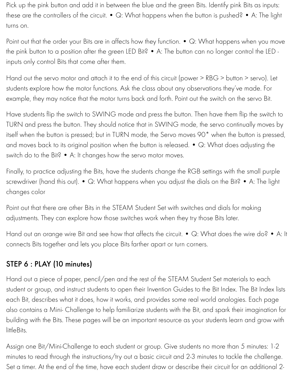Pick up the pink button and add it in between the blue and the green Bits. Identify pink Bits as inputs: these are the controllers of the circuit. • Q: What happens when the button is pushed? • A: The light turns on.

Point out that the order your Bits are in affects how they function. • Q: What happens when you move the pink button to a position after the green LED Bit? • A: The button can no longer control the LED inputs only control Bits that come after them.

Hand out the servo motor and attach it to the end of this circuit (power > RBG > button > servo). Let students explore how the motor functions. Ask the class about any observations they've made. For example, they may notice that the motor turns back and forth. Point out the switch on the servo Bit.

Have students flip the switch to SWING mode and press the button. Then have them flip the switch to TURN and press the button. They should notice that in SWING mode, the servo continually moves by itself when the button is pressed; but in TURN mode, the Servo moves 90\* when the button is pressed, and moves back to its original position when the button is released. • Q: What does adjusting the switch do to the Bit? • A: It changes how the servo motor moves.

Finally, to practice adjusting the Bits, have the students change the RGB settings with the small purple screwdriver (hand this out). • Q: What happens when you adjust the dials on the Bit? • A: The light changes color

Point out that there are other Bits in the STEAM Student Set with switches and dials for making adjustments. They can explore how those switches work when they try those Bits later.

Hand out an orange wire Bit and see how that affects the circuit. • Q: What does the wire do? • A: It connects Bits together and lets you place Bits farther apart or turn corners.

# STEP 6 : PLAY (10 minutes)

Hand out a piece of paper, pencil/pen and the rest of the STEAM Student Set materials to each student or group, and instruct students to open their Invention Guides to the Bit Index. The Bit Index lists each Bit, describes what it does, how it works, and provides some real world analogies. Each page also contains a Mini- Challenge to help familiarize students with the Bit, and spark their imagination for building with the Bits. These pages will be an important resource as your students learn and grow with littleBits.

Assign one Bit/Mini-Challenge to each student or group. Give students no more than 5 minutes: 1-2 minutes to read through the instructions/try out a basic circuit and 2-3 minutes to tackle the challenge. Set a timer. At the end of the time, have each student draw or describe their circuit for an additional 2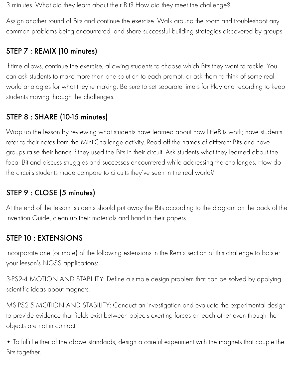3 minutes. What did they learn about their Bit? How did they meet the challenge?

Assign another round of Bits and continue the exercise. Walk around the room and troubleshoot any common problems being encountered, and share successful building strategies discovered by groups.

# STEP 7 : REMIX (10 minutes)

If time allows, continue the exercise, allowing students to choose which Bits they want to tackle. You can ask students to make more than one solution to each prompt, or ask them to think of some real world analogies for what they're making. Be sure to set separate timers for Play and recording to keep students moving through the challenges.

# STEP 8 : SHARE (10-15 minutes)

Wrap up the lesson by reviewing what students have learned about how littleBits work; have students refer to their notes from the Mini-Challenge activity. Read off the names of different Bits and have groups raise their hands if they used the Bits in their circuit. Ask students what they learned about the focal Bit and discuss struggles and successes encountered while addressing the challenges. How do the circuits students made compare to circuits they've seen in the real world?

# STEP 9 : CLOSE (5 minutes)

At the end of the lesson, students should put away the Bits according to the diagram on the back of the Invention Guide, clean up their materials and hand in their papers.

# STEP 10 : EXTENSIONS

Incorporate one (or more) of the following extensions in the Remix section of this challenge to bolster your lesson's NGSS applications:

3-PS2-4 MOTION AND STABILITY: Define a simple design problem that can be solved by applying scientific ideas about magnets.

MS-PS2-5 MOTION AND STABILITY: Conduct an investigation and evaluate the experimental design to provide evidence that fields exist between objects exerting forces on each other even though the objects are not in contact.

• To fulfill either of the above standards, design a careful experiment with the magnets that couple the Bits together.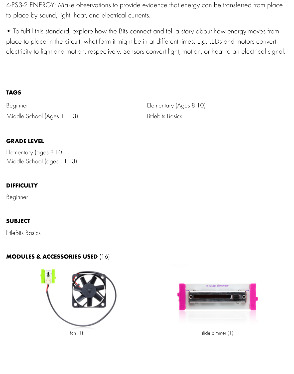electricity to light and motion, respectively. Sensors convert light, motion, or heat to an ele

#### **TAGS**

Middle School (Ages 11 13) Littlebits Basics

**GRADE LEVEL**

[Elementa](http://littlebits.cc/projects?search=Beginner)ry (ages 8-10) [Middle School \(ages 11-13\)](http://littlebits.cc/projects?search=Middle+School+%28ages+11-13%29)

### **DIFFICULTY**

Beginner

### **SUBJECT**

littleBits Basics

### **MODULES & ACCESSORIES USED** (16)



Beginner Elementary (Ages 8 10)

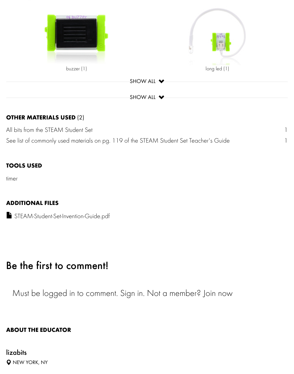

#### **O[THER MATERIALS USED](http://littlebits.cc/bits/buzzer)** (2)

All bits from the STEAM Student Set

See list of commonly used materials on pg. 119 of the STEAM Student Set Teacher's Guide

#### **TOOLS USED**

timer

#### **ADDITIONAL FILES**

STEAM-Student-Set-Invention-Guide.pdf

# B[e the first to comment!](https://lb-community.s3.amazonaws.com/uploads/supporting_file/asset/1263/STEAM-Student-Set-Invention-Guide.pdf)

Must be logged in to comment. Sign in. Not a member? Join now

#### **ABOUT THE EDUCATOR**

# lizabits **Q** NEW YORK, NY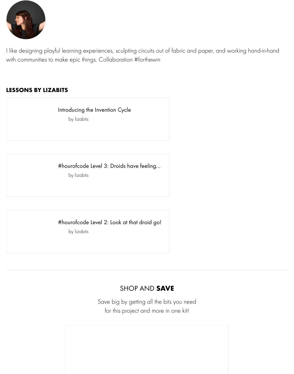I like designing playful learning experiences, sculpting circuits out of fabric and paper, and working hand-in-hand with communities to make epic things. Collaboration #forthewin

#### **LESSONS BY LIZABITS**

Introducing the Invention Cycle

by lizabits

[#hourofcode Level 3: Droids have feeling…](http://littlebits.cc/users/l_stark)

by lizabits

#### [#hourofcode Level 2: Look at that droid go!](http://littlebits.cc/users/l_stark)

by lizabits

### [SHOP AND](http://littlebits.cc/users/l_stark) **SAVE**

Save big by getting all the bits you need for this project and more in one kit!